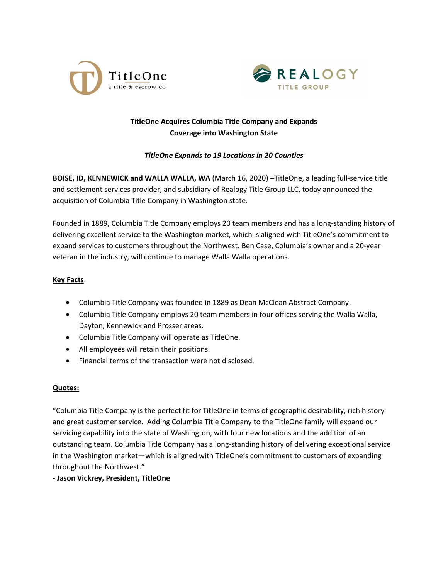



# **TitleOne Acquires Columbia Title Company and Expands Coverage into Washington State**

## *TitleOne Expands to 19 Locations in 20 Counties*

**BOISE, ID, KENNEWICK and WALLA WALLA, WA** (March 16, 2020) –TitleOne, a leading full-service title and settlement services provider, and subsidiary of Realogy Title Group LLC, today announced the acquisition of Columbia Title Company in Washington state.

Founded in 1889, Columbia Title Company employs 20 team members and has a long-standing history of delivering excellent service to the Washington market, which is aligned with TitleOne's commitment to expand services to customers throughout the Northwest. Ben Case, Columbia's owner and a 20-year veteran in the industry, will continue to manage Walla Walla operations.

### **Key Facts**:

- Columbia Title Company was founded in 1889 as Dean McClean Abstract Company.
- Columbia Title Company employs 20 team members in four offices serving the Walla Walla, Dayton, Kennewick and Prosser areas.
- Columbia Title Company will operate as TitleOne.
- All employees will retain their positions.
- Financial terms of the transaction were not disclosed.

### **Quotes:**

"Columbia Title Company is the perfect fit for TitleOne in terms of geographic desirability, rich history and great customer service. Adding Columbia Title Company to the TitleOne family will expand our servicing capability into the state of Washington, with four new locations and the addition of an outstanding team. Columbia Title Company has a long-standing history of delivering exceptional service in the Washington market—which is aligned with TitleOne's commitment to customers of expanding throughout the Northwest."

### **- Jason Vickrey, President, TitleOne**